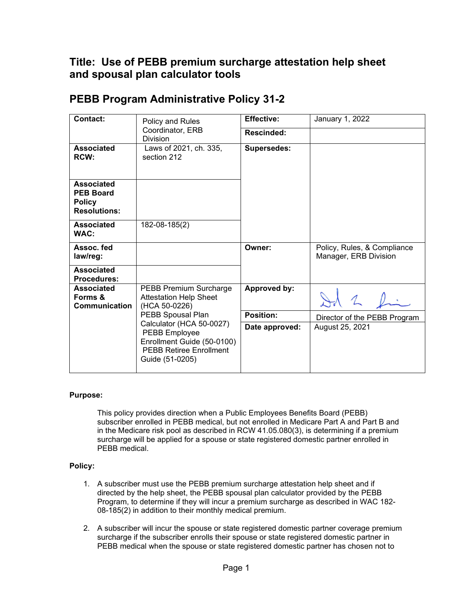## **Title: Use of PEBB premium surcharge attestation help sheet and spousal plan calculator tools**

| <b>Contact:</b><br><b>Division</b>                                            | Policy and Rules                                                                                                                                  | <b>Effective:</b>   | January 1, 2022                                      |
|-------------------------------------------------------------------------------|---------------------------------------------------------------------------------------------------------------------------------------------------|---------------------|------------------------------------------------------|
|                                                                               | Coordinator, ERB                                                                                                                                  | <b>Rescinded:</b>   |                                                      |
| Associated<br><b>RCW:</b>                                                     | Laws of 2021, ch. 335,<br>section 212                                                                                                             | <b>Supersedes:</b>  |                                                      |
| <b>Associated</b><br><b>PEB Board</b><br><b>Policy</b><br><b>Resolutions:</b> |                                                                                                                                                   |                     |                                                      |
| <b>Associated</b><br>WAC:                                                     | 182-08-185(2)                                                                                                                                     |                     |                                                      |
| Assoc. fed<br>law/reg:                                                        |                                                                                                                                                   | Owner:              | Policy, Rules, & Compliance<br>Manager, ERB Division |
| Associated<br>Procedures:                                                     |                                                                                                                                                   |                     |                                                      |
| <b>Associated</b><br>Forms &<br><b>Communication</b>                          | PEBB Premium Surcharge<br><b>Attestation Help Sheet</b><br>(HCA 50-0226)                                                                          | <b>Approved by:</b> |                                                      |
|                                                                               | PEBB Spousal Plan<br>Calculator (HCA 50-0027)<br>PEBB Employee<br>Enrollment Guide (50-0100)<br><b>PEBB Retiree Enrollment</b><br>Guide (51-0205) | <b>Position:</b>    | Director of the PEBB Program                         |
|                                                                               |                                                                                                                                                   | Date approved:      | August 25, 2021                                      |

## **PEBB Program Administrative Policy 31-2**

## **Purpose:**

This policy provides direction when a Public Employees Benefits Board (PEBB) subscriber enrolled in PEBB medical, but not enrolled in Medicare Part A and Part B and in the Medicare risk pool as described in RCW 41.05.080(3), is determining if a premium surcharge will be applied for a spouse or state registered domestic partner enrolled in PEBB medical.

## **Policy:**

- 1. A subscriber must use the PEBB premium surcharge attestation help sheet and if directed by the help sheet, the PEBB spousal plan calculator provided by the PEBB Program, to determine if they will incur a premium surcharge as described in WAC 182- 08-185(2) in addition to their monthly medical premium.
- 2. A subscriber will incur the spouse or state registered domestic partner coverage premium surcharge if the subscriber enrolls their spouse or state registered domestic partner in PEBB medical when the spouse or state registered domestic partner has chosen not to